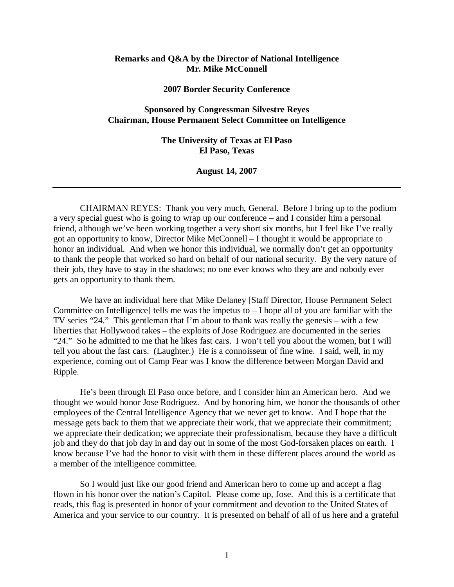## **Remarks and Q&A by the Director of National Intelligence Mr. Mike McConnell**

**2007 Border Security Conference** 

# **Sponsored by Congressman Silvestre Reyes Chairman, House Permanent Select Committee on Intelligence**

**The University of Texas at El Paso El Paso, Texas** 

#### **August 14, 2007**

CHAIRMAN REYES: Thank you very much, General. Before I bring up to the podium a very special guest who is going to wrap up our conference – and I consider him a personal friend, although we've been working together a very short six months, but I feel like I've really got an opportunity to know, Director Mike McConnell – I thought it would be appropriate to honor an individual. And when we honor this individual, we normally don't get an opportunity to thank the people that worked so hard on behalf of our national security. By the very nature of their job, they have to stay in the shadows; no one ever knows who they are and nobody ever gets an opportunity to thank them.

We have an individual here that Mike Delaney [Staff Director, House Permanent Select Committee on Intelligence] tells me was the impetus to  $-I$  hope all of you are familiar with the TV series "24." This gentleman that I'm about to thank was really the genesis – with a few liberties that Hollywood takes – the exploits of Jose Rodriguez are documented in the series "24." So he admitted to me that he likes fast cars. I won't tell you about the women, but I will tell you about the fast cars. (Laughter.) He is a connoisseur of fine wine. I said, well, in my experience, coming out of Camp Fear was I know the difference between Morgan David and Ripple.

He's been through El Paso once before, and I consider him an American hero. And we thought we would honor Jose Rodriguez. And by honoring him, we honor the thousands of other employees of the Central Intelligence Agency that we never get to know. And I hope that the message gets back to them that we appreciate their work, that we appreciate their commitment; we appreciate their dedication; we appreciate their professionalism, because they have a difficult job and they do that job day in and day out in some of the most God-forsaken places on earth. I know because I've had the honor to visit with them in these different places around the world as a member of the intelligence committee.

So I would just like our good friend and American hero to come up and accept a flag flown in his honor over the nation's Capitol. Please come up, Jose. And this is a certificate that reads, this flag is presented in honor of your commitment and devotion to the United States of America and your service to our country. It is presented on behalf of all of us here and a grateful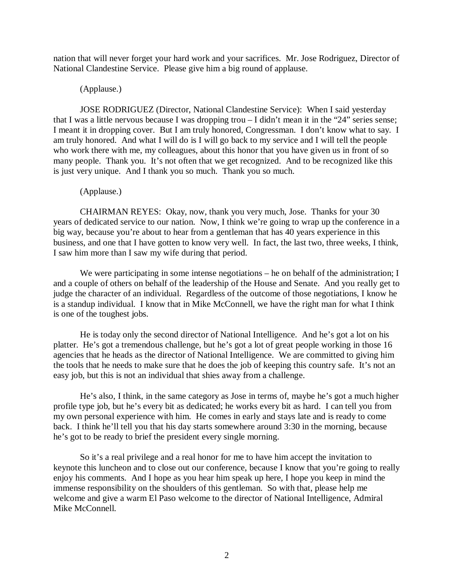nation that will never forget your hard work and your sacrifices. Mr. Jose Rodriguez, Director of National Clandestine Service. Please give him a big round of applause.

## (Applause.)

JOSE RODRIGUEZ (Director, National Clandestine Service): When I said yesterday that I was a little nervous because I was dropping trou – I didn't mean it in the "24" series sense; I meant it in dropping cover. But I am truly honored, Congressman. I don't know what to say. I am truly honored. And what I will do is I will go back to my service and I will tell the people who work there with me, my colleagues, about this honor that you have given us in front of so many people. Thank you. It's not often that we get recognized. And to be recognized like this is just very unique. And I thank you so much. Thank you so much.

## (Applause.)

CHAIRMAN REYES: Okay, now, thank you very much, Jose. Thanks for your 30 years of dedicated service to our nation. Now, I think we're going to wrap up the conference in a big way, because you're about to hear from a gentleman that has 40 years experience in this business, and one that I have gotten to know very well. In fact, the last two, three weeks, I think, I saw him more than I saw my wife during that period.

We were participating in some intense negotiations – he on behalf of the administration; I and a couple of others on behalf of the leadership of the House and Senate. And you really get to judge the character of an individual. Regardless of the outcome of those negotiations, I know he is a standup individual. I know that in Mike McConnell, we have the right man for what I think is one of the toughest jobs.

He is today only the second director of National Intelligence. And he's got a lot on his platter. He's got a tremendous challenge, but he's got a lot of great people working in those 16 agencies that he heads as the director of National Intelligence. We are committed to giving him the tools that he needs to make sure that he does the job of keeping this country safe. It's not an easy job, but this is not an individual that shies away from a challenge.

He's also, I think, in the same category as Jose in terms of, maybe he's got a much higher profile type job, but he's every bit as dedicated; he works every bit as hard. I can tell you from my own personal experience with him. He comes in early and stays late and is ready to come back. I think he'll tell you that his day starts somewhere around 3:30 in the morning, because he's got to be ready to brief the president every single morning.

So it's a real privilege and a real honor for me to have him accept the invitation to keynote this luncheon and to close out our conference, because I know that you're going to really enjoy his comments. And I hope as you hear him speak up here, I hope you keep in mind the immense responsibility on the shoulders of this gentleman. So with that, please help me welcome and give a warm El Paso welcome to the director of National Intelligence, Admiral Mike McConnell.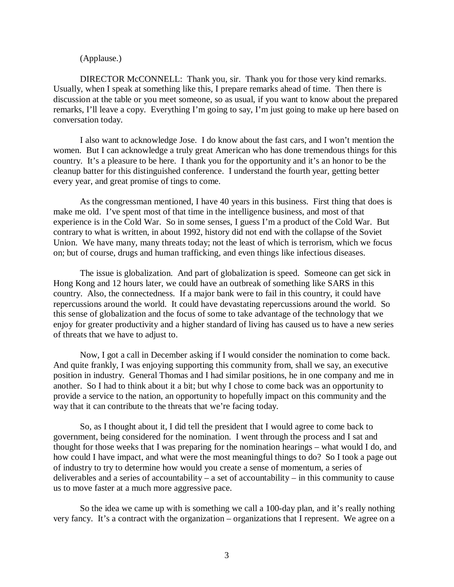## (Applause.)

DIRECTOR McCONNELL: Thank you, sir. Thank you for those very kind remarks. Usually, when I speak at something like this, I prepare remarks ahead of time. Then there is discussion at the table or you meet someone, so as usual, if you want to know about the prepared remarks, I'll leave a copy. Everything I'm going to say, I'm just going to make up here based on conversation today.

I also want to acknowledge Jose. I do know about the fast cars, and I won't mention the women. But I can acknowledge a truly great American who has done tremendous things for this country. It's a pleasure to be here. I thank you for the opportunity and it's an honor to be the cleanup batter for this distinguished conference. I understand the fourth year, getting better every year, and great promise of tings to come.

As the congressman mentioned, I have 40 years in this business. First thing that does is make me old. I've spent most of that time in the intelligence business, and most of that experience is in the Cold War. So in some senses, I guess I'm a product of the Cold War. But contrary to what is written, in about 1992, history did not end with the collapse of the Soviet Union. We have many, many threats today; not the least of which is terrorism, which we focus on; but of course, drugs and human trafficking, and even things like infectious diseases.

The issue is globalization. And part of globalization is speed. Someone can get sick in Hong Kong and 12 hours later, we could have an outbreak of something like SARS in this country. Also, the connectedness. If a major bank were to fail in this country, it could have repercussions around the world. It could have devastating repercussions around the world. So this sense of globalization and the focus of some to take advantage of the technology that we enjoy for greater productivity and a higher standard of living has caused us to have a new series of threats that we have to adjust to.

Now, I got a call in December asking if I would consider the nomination to come back. And quite frankly, I was enjoying supporting this community from, shall we say, an executive position in industry. General Thomas and I had similar positions, he in one company and me in another. So I had to think about it a bit; but why I chose to come back was an opportunity to provide a service to the nation, an opportunity to hopefully impact on this community and the way that it can contribute to the threats that we're facing today.

So, as I thought about it, I did tell the president that I would agree to come back to government, being considered for the nomination. I went through the process and I sat and thought for those weeks that I was preparing for the nomination hearings – what would I do, and how could I have impact, and what were the most meaningful things to do? So I took a page out of industry to try to determine how would you create a sense of momentum, a series of deliverables and a series of accountability – a set of accountability – in this community to cause us to move faster at a much more aggressive pace.

So the idea we came up with is something we call a 100-day plan, and it's really nothing very fancy. It's a contract with the organization – organizations that I represent. We agree on a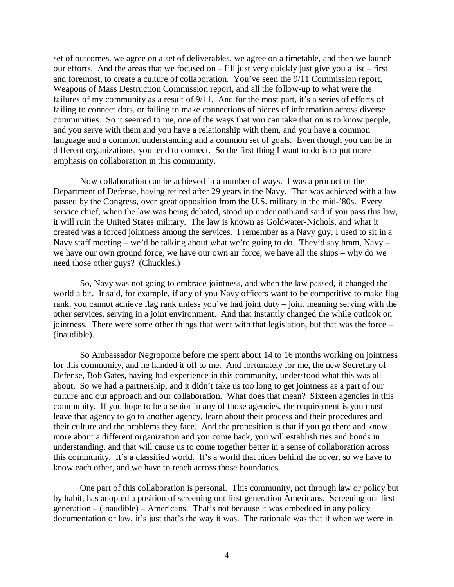set of outcomes, we agree on a set of deliverables, we agree on a timetable, and then we launch our efforts. And the areas that we focused on  $-1$ 'll just very quickly just give you a list – first and foremost, to create a culture of collaboration. You've seen the 9/11 Commission report, Weapons of Mass Destruction Commission report, and all the follow-up to what were the failures of my community as a result of 9/11. And for the most part, it's a series of efforts of failing to connect dots, or failing to make connections of pieces of information across diverse communities. So it seemed to me, one of the ways that you can take that on is to know people, and you serve with them and you have a relationship with them, and you have a common language and a common understanding and a common set of goals. Even though you can be in different organizations, you tend to connect. So the first thing I want to do is to put more emphasis on collaboration in this community.

Now collaboration can be achieved in a number of ways. I was a product of the Department of Defense, having retired after 29 years in the Navy. That was achieved with a law passed by the Congress, over great opposition from the U.S. military in the mid-'80s. Every service chief, when the law was being debated, stood up under oath and said if you pass this law, it will ruin the United States military. The law is known as Goldwater-Nichols, and what it created was a forced jointness among the services. I remember as a Navy guy, I used to sit in a Navy staff meeting – we'd be talking about what we're going to do. They'd say hmm, Navy – we have our own ground force, we have our own air force, we have all the ships – why do we need those other guys? (Chuckles.)

So, Navy was not going to embrace jointness, and when the law passed, it changed the world a bit. It said, for example, if any of you Navy officers want to be competitive to make flag rank, you cannot achieve flag rank unless you've had joint duty – joint meaning serving with the other services, serving in a joint environment. And that instantly changed the while outlook on jointness. There were some other things that went with that legislation, but that was the force – (inaudible).

So Ambassador Negroponte before me spent about 14 to 16 months working on jointness for this community, and he handed it off to me. And fortunately for me, the new Secretary of Defense, Bob Gates, having had experience in this community, understood what this was all about. So we had a partnership, and it didn't take us too long to get jointness as a part of our culture and our approach and our collaboration. What does that mean? Sixteen agencies in this community. If you hope to be a senior in any of those agencies, the requirement is you must leave that agency to go to another agency, learn about their process and their procedures and their culture and the problems they face. And the proposition is that if you go there and know more about a different organization and you come back, you will establish ties and bonds in understanding, and that will cause us to come together better in a sense of collaboration across this community. It's a classified world. It's a world that hides behind the cover, so we have to know each other, and we have to reach across those boundaries.

One part of this collaboration is personal. This community, not through law or policy but by habit, has adopted a position of screening out first generation Americans. Screening out first generation – (inaudible) – Americans. That's not because it was embedded in any policy documentation or law, it's just that's the way it was. The rationale was that if when we were in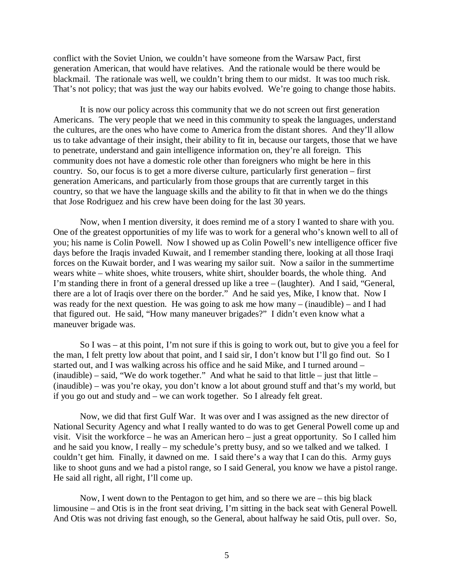conflict with the Soviet Union, we couldn't have someone from the Warsaw Pact, first generation American, that would have relatives. And the rationale would be there would be blackmail. The rationale was well, we couldn't bring them to our midst. It was too much risk. That's not policy; that was just the way our habits evolved. We're going to change those habits.

It is now our policy across this community that we do not screen out first generation Americans. The very people that we need in this community to speak the languages, understand the cultures, are the ones who have come to America from the distant shores. And they'll allow us to take advantage of their insight, their ability to fit in, because our targets, those that we have to penetrate, understand and gain intelligence information on, they're all foreign. This community does not have a domestic role other than foreigners who might be here in this country. So, our focus is to get a more diverse culture, particularly first generation – first generation Americans, and particularly from those groups that are currently target in this country, so that we have the language skills and the ability to fit that in when we do the things that Jose Rodriguez and his crew have been doing for the last 30 years.

Now, when I mention diversity, it does remind me of a story I wanted to share with you. One of the greatest opportunities of my life was to work for a general who's known well to all of you; his name is Colin Powell. Now I showed up as Colin Powell's new intelligence officer five days before the Iraqis invaded Kuwait, and I remember standing there, looking at all those Iraqi forces on the Kuwait border, and I was wearing my sailor suit. Now a sailor in the summertime wears white – white shoes, white trousers, white shirt, shoulder boards, the whole thing. And I'm standing there in front of a general dressed up like a tree – (laughter). And I said, "General, there are a lot of Iraqis over there on the border." And he said yes, Mike, I know that. Now I was ready for the next question. He was going to ask me how many – (inaudible) – and I had that figured out. He said, "How many maneuver brigades?" I didn't even know what a maneuver brigade was.

So I was – at this point, I'm not sure if this is going to work out, but to give you a feel for the man, I felt pretty low about that point, and I said sir, I don't know but I'll go find out. So I started out, and I was walking across his office and he said Mike, and I turned around – (inaudible) – said, "We do work together." And what he said to that little – just that little – (inaudible) – was you're okay, you don't know a lot about ground stuff and that's my world, but if you go out and study and – we can work together. So I already felt great.

Now, we did that first Gulf War. It was over and I was assigned as the new director of National Security Agency and what I really wanted to do was to get General Powell come up and visit. Visit the workforce – he was an American hero – just a great opportunity. So I called him and he said you know, I really – my schedule's pretty busy, and so we talked and we talked. I couldn't get him. Finally, it dawned on me. I said there's a way that I can do this. Army guys like to shoot guns and we had a pistol range, so I said General, you know we have a pistol range. He said all right, all right, I'll come up.

Now, I went down to the Pentagon to get him, and so there we are – this big black limousine – and Otis is in the front seat driving, I'm sitting in the back seat with General Powell. And Otis was not driving fast enough, so the General, about halfway he said Otis, pull over. So,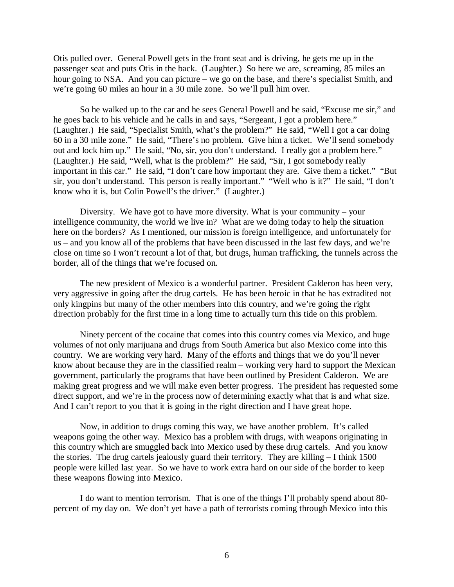Otis pulled over. General Powell gets in the front seat and is driving, he gets me up in the passenger seat and puts Otis in the back. (Laughter.) So here we are, screaming, 85 miles an hour going to NSA. And you can picture – we go on the base, and there's specialist Smith, and we're going 60 miles an hour in a 30 mile zone. So we'll pull him over.

So he walked up to the car and he sees General Powell and he said, "Excuse me sir," and he goes back to his vehicle and he calls in and says, "Sergeant, I got a problem here." (Laughter.) He said, "Specialist Smith, what's the problem?" He said, "Well I got a car doing 60 in a 30 mile zone." He said, "There's no problem. Give him a ticket. We'll send somebody out and lock him up." He said, "No, sir, you don't understand. I really got a problem here." (Laughter.) He said, "Well, what is the problem?" He said, "Sir, I got somebody really important in this car." He said, "I don't care how important they are. Give them a ticket." "But sir, you don't understand. This person is really important." "Well who is it?" He said, "I don't know who it is, but Colin Powell's the driver." (Laughter.)

Diversity. We have got to have more diversity. What is your community – your intelligence community, the world we live in? What are we doing today to help the situation here on the borders? As I mentioned, our mission is foreign intelligence, and unfortunately for us – and you know all of the problems that have been discussed in the last few days, and we're close on time so I won't recount a lot of that, but drugs, human trafficking, the tunnels across the border, all of the things that we're focused on.

The new president of Mexico is a wonderful partner. President Calderon has been very, very aggressive in going after the drug cartels. He has been heroic in that he has extradited not only kingpins but many of the other members into this country, and we're going the right direction probably for the first time in a long time to actually turn this tide on this problem.

Ninety percent of the cocaine that comes into this country comes via Mexico, and huge volumes of not only marijuana and drugs from South America but also Mexico come into this country. We are working very hard. Many of the efforts and things that we do you'll never know about because they are in the classified realm – working very hard to support the Mexican government, particularly the programs that have been outlined by President Calderon. We are making great progress and we will make even better progress. The president has requested some direct support, and we're in the process now of determining exactly what that is and what size. And I can't report to you that it is going in the right direction and I have great hope.

Now, in addition to drugs coming this way, we have another problem. It's called weapons going the other way. Mexico has a problem with drugs, with weapons originating in this country which are smuggled back into Mexico used by these drug cartels. And you know the stories. The drug cartels jealously guard their territory. They are killing – I think 1500 people were killed last year. So we have to work extra hard on our side of the border to keep these weapons flowing into Mexico.

I do want to mention terrorism. That is one of the things I'll probably spend about 80 percent of my day on. We don't yet have a path of terrorists coming through Mexico into this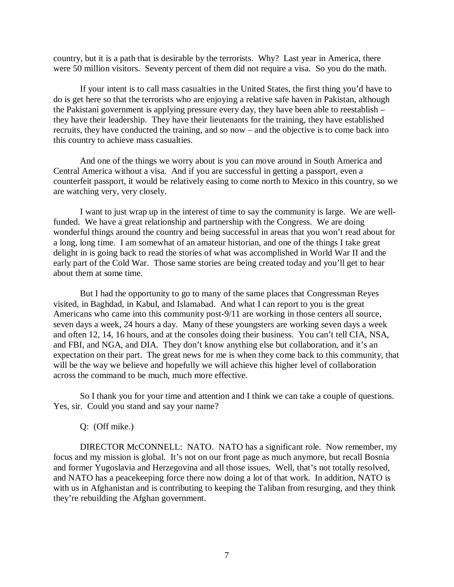country, but it is a path that is desirable by the terrorists. Why? Last year in America, there were 50 million visitors. Seventy percent of them did not require a visa. So you do the math.

If your intent is to call mass casualties in the United States, the first thing you'd have to do is get here so that the terrorists who are enjoying a relative safe haven in Pakistan, although the Pakistani government is applying pressure every day, they have been able to reestablish – they have their leadership. They have their lieutenants for the training, they have established recruits, they have conducted the training, and so now – and the objective is to come back into this country to achieve mass casualties.

And one of the things we worry about is you can move around in South America and Central America without a visa. And if you are successful in getting a passport, even a counterfeit passport, it would be relatively easing to come north to Mexico in this country, so we are watching very, very closely.

I want to just wrap up in the interest of time to say the community is large. We are wellfunded. We have a great relationship and partnership with the Congress. We are doing wonderful things around the country and being successful in areas that you won't read about for a long, long time. I am somewhat of an amateur historian, and one of the things I take great delight in is going back to read the stories of what was accomplished in World War II and the early part of the Cold War. Those same stories are being created today and you'll get to hear about them at some time.

But I had the opportunity to go to many of the same places that Congressman Reyes visited, in Baghdad, in Kabul, and Islamabad. And what I can report to you is the great Americans who came into this community post-9/11 are working in those centers all source, seven days a week, 24 hours a day. Many of these youngsters are working seven days a week and often 12, 14, 16 hours, and at the consoles doing their business. You can't tell CIA, NSA, and FBI, and NGA, and DIA. They don't know anything else but collaboration, and it's an expectation on their part. The great news for me is when they come back to this community, that will be the way we believe and hopefully we will achieve this higher level of collaboration across the command to be much, much more effective.

So I thank you for your time and attention and I think we can take a couple of questions. Yes, sir. Could you stand and say your name?

#### Q: (Off mike.)

DIRECTOR McCONNELL: NATO. NATO has a significant role. Now remember, my focus and my mission is global. It's not on our front page as much anymore, but recall Bosnia and former Yugoslavia and Herzegovina and all those issues. Well, that's not totally resolved, and NATO has a peacekeeping force there now doing a lot of that work. In addition, NATO is with us in Afghanistan and is contributing to keeping the Taliban from resurging, and they think they're rebuilding the Afghan government.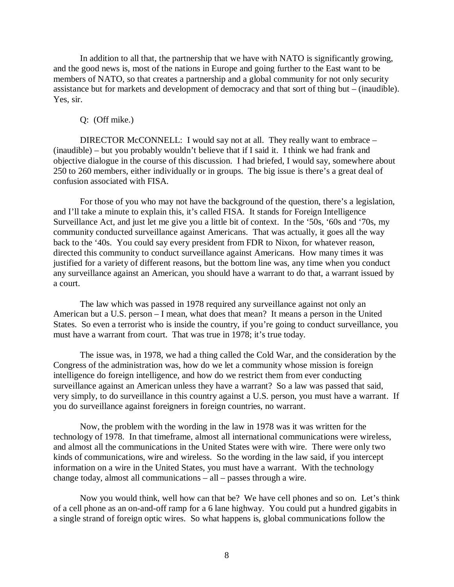In addition to all that, the partnership that we have with NATO is significantly growing, and the good news is, most of the nations in Europe and going further to the East want to be members of NATO, so that creates a partnership and a global community for not only security assistance but for markets and development of democracy and that sort of thing but – (inaudible). Yes, sir.

#### Q: (Off mike.)

DIRECTOR McCONNELL: I would say not at all. They really want to embrace – (inaudible) – but you probably wouldn't believe that if I said it. I think we had frank and objective dialogue in the course of this discussion. I had briefed, I would say, somewhere about 250 to 260 members, either individually or in groups. The big issue is there's a great deal of confusion associated with FISA.

For those of you who may not have the background of the question, there's a legislation, and I'll take a minute to explain this, it's called FISA. It stands for Foreign Intelligence Surveillance Act, and just let me give you a little bit of context. In the '50s, '60s and '70s, my community conducted surveillance against Americans. That was actually, it goes all the way back to the '40s. You could say every president from FDR to Nixon, for whatever reason, directed this community to conduct surveillance against Americans. How many times it was justified for a variety of different reasons, but the bottom line was, any time when you conduct any surveillance against an American, you should have a warrant to do that, a warrant issued by a court.

The law which was passed in 1978 required any surveillance against not only an American but a U.S. person – I mean, what does that mean? It means a person in the United States. So even a terrorist who is inside the country, if you're going to conduct surveillance, you must have a warrant from court. That was true in 1978; it's true today.

The issue was, in 1978, we had a thing called the Cold War, and the consideration by the Congress of the administration was, how do we let a community whose mission is foreign intelligence do foreign intelligence, and how do we restrict them from ever conducting surveillance against an American unless they have a warrant? So a law was passed that said, very simply, to do surveillance in this country against a U.S. person, you must have a warrant. If you do surveillance against foreigners in foreign countries, no warrant.

Now, the problem with the wording in the law in 1978 was it was written for the technology of 1978. In that timeframe, almost all international communications were wireless, and almost all the communications in the United States were with wire. There were only two kinds of communications, wire and wireless. So the wording in the law said, if you intercept information on a wire in the United States, you must have a warrant. With the technology change today, almost all communications – all – passes through a wire.

Now you would think, well how can that be? We have cell phones and so on. Let's think of a cell phone as an on-and-off ramp for a 6 lane highway. You could put a hundred gigabits in a single strand of foreign optic wires. So what happens is, global communications follow the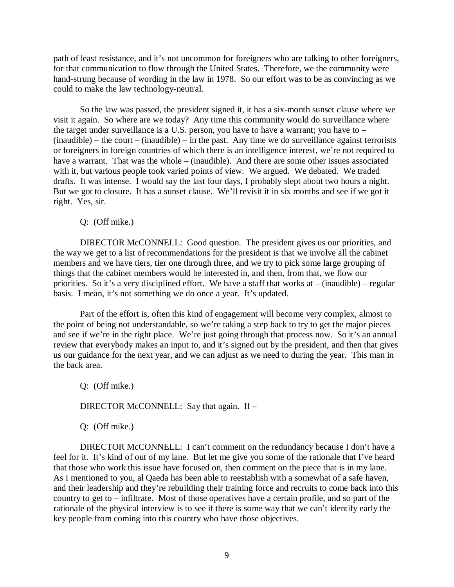path of least resistance, and it's not uncommon for foreigners who are talking to other foreigners, for that communication to flow through the United States. Therefore, we the community were hand-strung because of wording in the law in 1978. So our effort was to be as convincing as we could to make the law technology-neutral.

So the law was passed, the president signed it, it has a six-month sunset clause where we visit it again. So where are we today? Any time this community would do surveillance where the target under surveillance is a U.S. person, you have to have a warrant; you have to –  $(inaudible) - the court - (inaudible) - in the past. Any time we do surveillance against terrorists$ or foreigners in foreign countries of which there is an intelligence interest, we're not required to have a warrant. That was the whole – (inaudible). And there are some other issues associated with it, but various people took varied points of view. We argued. We debated. We traded drafts. It was intense. I would say the last four days, I probably slept about two hours a night. But we got to closure. It has a sunset clause. We'll revisit it in six months and see if we got it right. Yes, sir.

Q: (Off mike.)

DIRECTOR McCONNELL: Good question. The president gives us our priorities, and the way we get to a list of recommendations for the president is that we involve all the cabinet members and we have tiers, tier one through three, and we try to pick some large grouping of things that the cabinet members would be interested in, and then, from that, we flow our priorities. So it's a very disciplined effort. We have a staff that works at – (inaudible) – regular basis. I mean, it's not something we do once a year. It's updated.

Part of the effort is, often this kind of engagement will become very complex, almost to the point of being not understandable, so we're taking a step back to try to get the major pieces and see if we're in the right place. We're just going through that process now. So it's an annual review that everybody makes an input to, and it's signed out by the president, and then that gives us our guidance for the next year, and we can adjust as we need to during the year. This man in the back area.

Q: (Off mike.) DIRECTOR McCONNELL: Say that again. If -Q: (Off mike.)

DIRECTOR McCONNELL: I can't comment on the redundancy because I don't have a feel for it. It's kind of out of my lane. But let me give you some of the rationale that I've heard that those who work this issue have focused on, then comment on the piece that is in my lane. As I mentioned to you, al Qaeda has been able to reestablish with a somewhat of a safe haven, and their leadership and they're rebuilding their training force and recruits to come back into this country to get to – infiltrate. Most of those operatives have a certain profile, and so part of the rationale of the physical interview is to see if there is some way that we can't identify early the key people from coming into this country who have those objectives.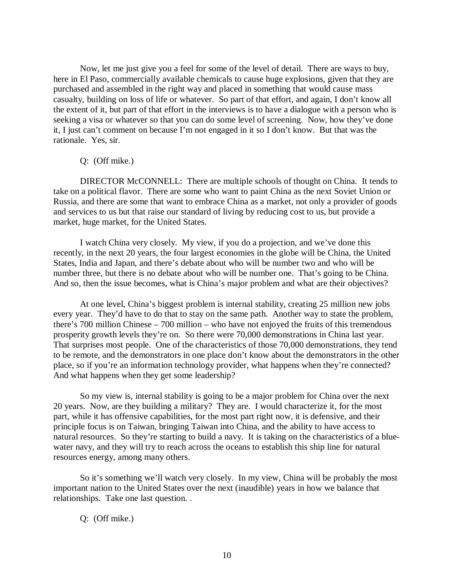Now, let me just give you a feel for some of the level of detail. There are ways to buy, here in El Paso, commercially available chemicals to cause huge explosions, given that they are purchased and assembled in the right way and placed in something that would cause mass casualty, building on loss of life or whatever. So part of that effort, and again, I don't know all the extent of it, but part of that effort in the interviews is to have a dialogue with a person who is seeking a visa or whatever so that you can do some level of screening. Now, how they've done it, I just can't comment on because I'm not engaged in it so I don't know. But that was the rationale. Yes, sir.

#### Q: (Off mike.)

DIRECTOR McCONNELL: There are multiple schools of thought on China. It tends to take on a political flavor. There are some who want to paint China as the next Soviet Union or Russia, and there are some that want to embrace China as a market, not only a provider of goods and services to us but that raise our standard of living by reducing cost to us, but provide a market, huge market, for the United States.

I watch China very closely. My view, if you do a projection, and we've done this recently, in the next 20 years, the four largest economies in the globe will be China, the United States, India and Japan, and there's debate about who will be number two and who will be number three, but there is no debate about who will be number one. That's going to be China. And so, then the issue becomes, what is China's major problem and what are their objectives?

At one level, China's biggest problem is internal stability, creating 25 million new jobs every year. They'd have to do that to stay on the same path. Another way to state the problem, there's 700 million Chinese – 700 million – who have not enjoyed the fruits of this tremendous prosperity growth levels they're on. So there were 70,000 demonstrations in China last year. That surprises most people. One of the characteristics of those 70,000 demonstrations, they tend to be remote, and the demonstrators in one place don't know about the demonstrators in the other place, so if you're an information technology provider, what happens when they're connected? And what happens when they get some leadership?

So my view is, internal stability is going to be a major problem for China over the next 20 years. Now, are they building a military? They are. I would characterize it, for the most part, while it has offensive capabilities, for the most part right now, it is defensive, and their principle focus is on Taiwan, bringing Taiwan into China, and the ability to have access to natural resources. So they're starting to build a navy. It is taking on the characteristics of a bluewater navy, and they will try to reach across the oceans to establish this ship line for natural resources energy, among many others.

So it's something we'll watch very closely. In my view, China will be probably the most important nation to the United States over the next (inaudible) years in how we balance that relationships. Take one last question. .

Q: (Off mike.)